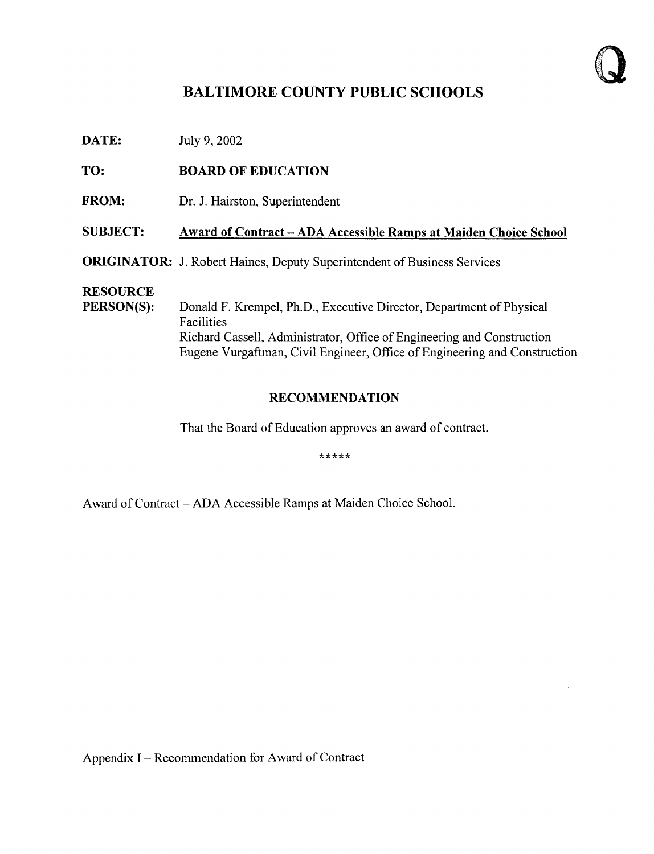# BALTIMORE COUNTY PUBLIC SCHOOLS

**DATE:** July 9, 2002

TO: BOARD OF EDUCATION

FROM: Dr. J. Hairston, Superintendent

### SUBJECT: Award of Contract - ADA Accessible Ramps at Maiden Choice School

ORIGINATOR: J. Robert Haines, Deputy Superintendent of Business Services

# **RESOURCE**<br>PERSON(S):

Donald F. Krempel, Ph.D., Executive Director, Department of Physical Facilities Richard Cassell, Administrator, Office of Engineering and Construction Eugene Vurgaftman, Civil Engineer, Office of Engineering and Construction

### RECOMMENDATION

That the Board of Education approves an award of contract.

\*\*\*\*\*

Award of Contract - ADA Accessible Ramps at Maiden Choice School.

Appendix I – Recommendation for Award of Contract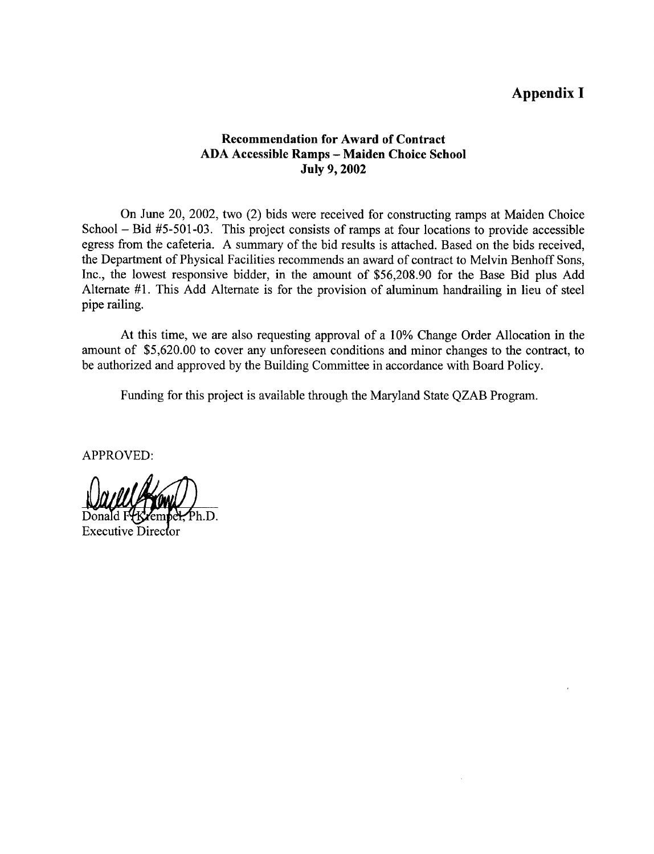## Appendix <sup>I</sup>

### Recommendation for Award of Contract ADA Accessible Ramps - Maiden Choice School July 9, 2002

On June 20, 2002, two (2) bids were received for constructing ramps at Maiden Choice School – Bid #5-501-03. This project consists of ramps at four locations to provide accessible egress from the cafeteria . A summary of the bid results is attached. Based on the bids received, the Department of Physical Facilities recommends an award of contract to Melvin Benhoff Sons, Inc., the lowest responsive bidder, in the amount of \$56,208.90 for the Base Bid plus Add Alternate #1. This Add Alternate is for the provision of aluminum handrailing in lieu of steel pipe railing.

At this time, we are also requesting approval of a 10% Change Order Allocation in the amount of \$5,620.00 to cover any unforeseen conditions and minor changes to the contract, to be authorized and approved by the Building Committee in accordance with Board Policy.

Funding for this project is available through the Maryland State QZAB Program.

APPROVED:

Ph.D.

**Executive Director**